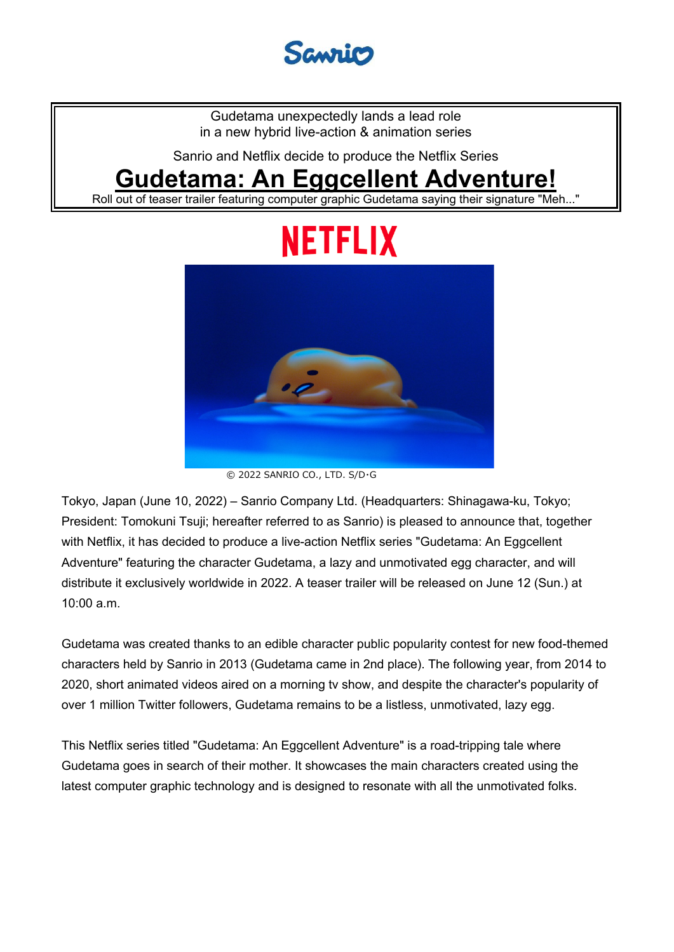

Gudetama unexpectedly lands a lead role in a new hybrid live-action & animation series

Sanrio and Netflix decide to produce the Netflix Series

# **Gudetama: An Eggcellent Adventure!**

Roll out of teaser trailer featuring computer graphic Gudetama saying their signature "Meh..."

# NETFLIX



<sup>©</sup> 2022 SANRIO CO., LTD. S/D・G

Tokyo, Japan (June 10, 2022) – Sanrio Company Ltd. (Headquarters: Shinagawa-ku, Tokyo; President: Tomokuni Tsuji; hereafter referred to as Sanrio) is pleased to announce that, together with Netflix, it has decided to produce a live-action Netflix series "Gudetama: An Eggcellent Adventure" featuring the character Gudetama, a lazy and unmotivated egg character, and will distribute it exclusively worldwide in 2022. A teaser trailer will be released on June 12 (Sun.) at 10:00 a.m.

Gudetama was created thanks to an edible character public popularity contest for new food-themed characters held by Sanrio in 2013 (Gudetama came in 2nd place). The following year, from 2014 to 2020, short animated videos aired on a morning tv show, and despite the character's popularity of over 1 million Twitter followers, Gudetama remains to be a listless, unmotivated, lazy egg.

This Netflix series titled "Gudetama: An Eggcellent Adventure" is a road-tripping tale where Gudetama goes in search of their mother. It showcases the main characters created using the latest computer graphic technology and is designed to resonate with all the unmotivated folks.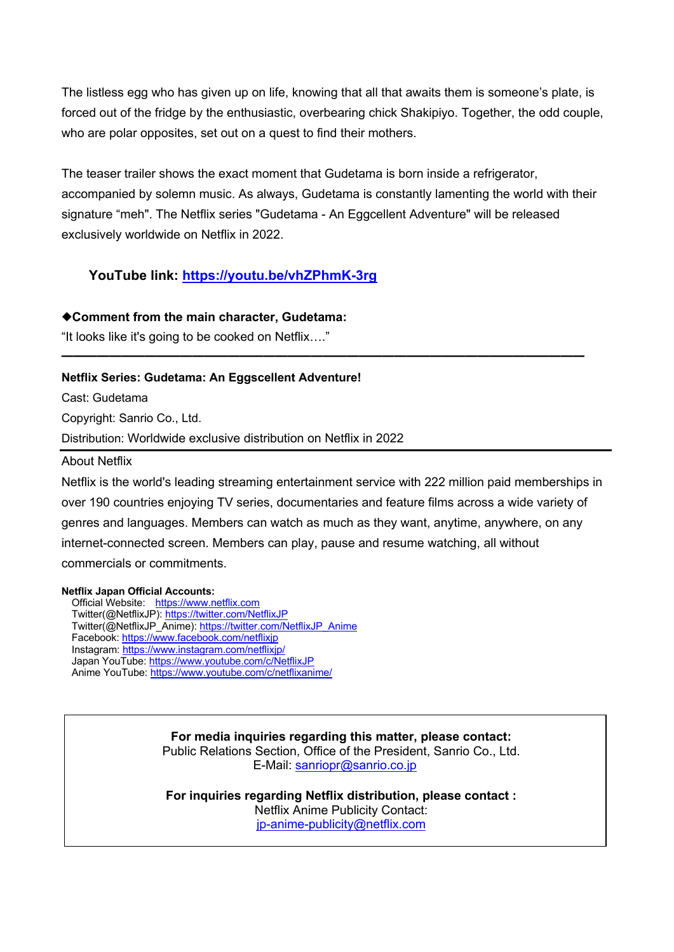The listless egg who has given up on life, knowing that all that awaits them is someone's plate, is forced out of the fridge by the enthusiastic, overbearing chick Shakipiyo. Together, the odd couple, who are polar opposites, set out on a quest to find their mothers.

The teaser trailer shows the exact moment that Gudetama is born inside a refrigerator, accompanied by solemn music. As always, Gudetama is constantly lamenting the world with their signature "meh". The Netflix series "Gudetama - An Eggcellent Adventure" will be released exclusively worldwide on Netflix in 2022.

━━━━━━━━━━━━━━━━━━━━━━━━━━━━━━━━━━━━━━━━━━━━

## **YouTube link: https://youtu.be/vhZPhmK-3rg**

#### ◆**Comment from the main character, Gudetama:**

"It looks like it's going to be cooked on Netflix…."

#### **Netflix Series: Gudetama: An Eggscellent Adventure!**

Cast: Gudetama

Copyright: Sanrio Co., Ltd.

Distribution: Worldwide exclusive distribution on Netflix in 2022

#### About Netflix

Netflix is the world's leading streaming entertainment service with 222 million paid memberships in over 190 countries enjoying TV series, documentaries and feature films across a wide variety of genres and languages. Members can watch as much as they want, anytime, anywhere, on any internet-connected screen. Members can play, pause and resume watching, all without commercials or commitments.

#### **Netflix Japan Official Accounts:**

Official Website: https://www.netflix.com Twitter(@NetflixJP): https://twitter.com/NetflixJP Twitter(@NetflixJP\_Anime): https://twitter.com/NetflixJP\_Anime Facebook: https://www.facebook.com/netflixjp Instagram: https://www.instagram.com/netflixjp/ Japan YouTube: https://www.youtube.com/c/NetflixJP Anime YouTube: https://www.youtube.com/c/netflixanime/

> **For media inquiries regarding this matter, please contact:** Public Relations Section, Office of the President, Sanrio Co., Ltd. E-Mail: sanriopr@sanrio.co.jp

**For inquiries regarding Netflix distribution, please contact :**  Netflix Anime Publicity Contact: jp-anime-publicity@netflix.com